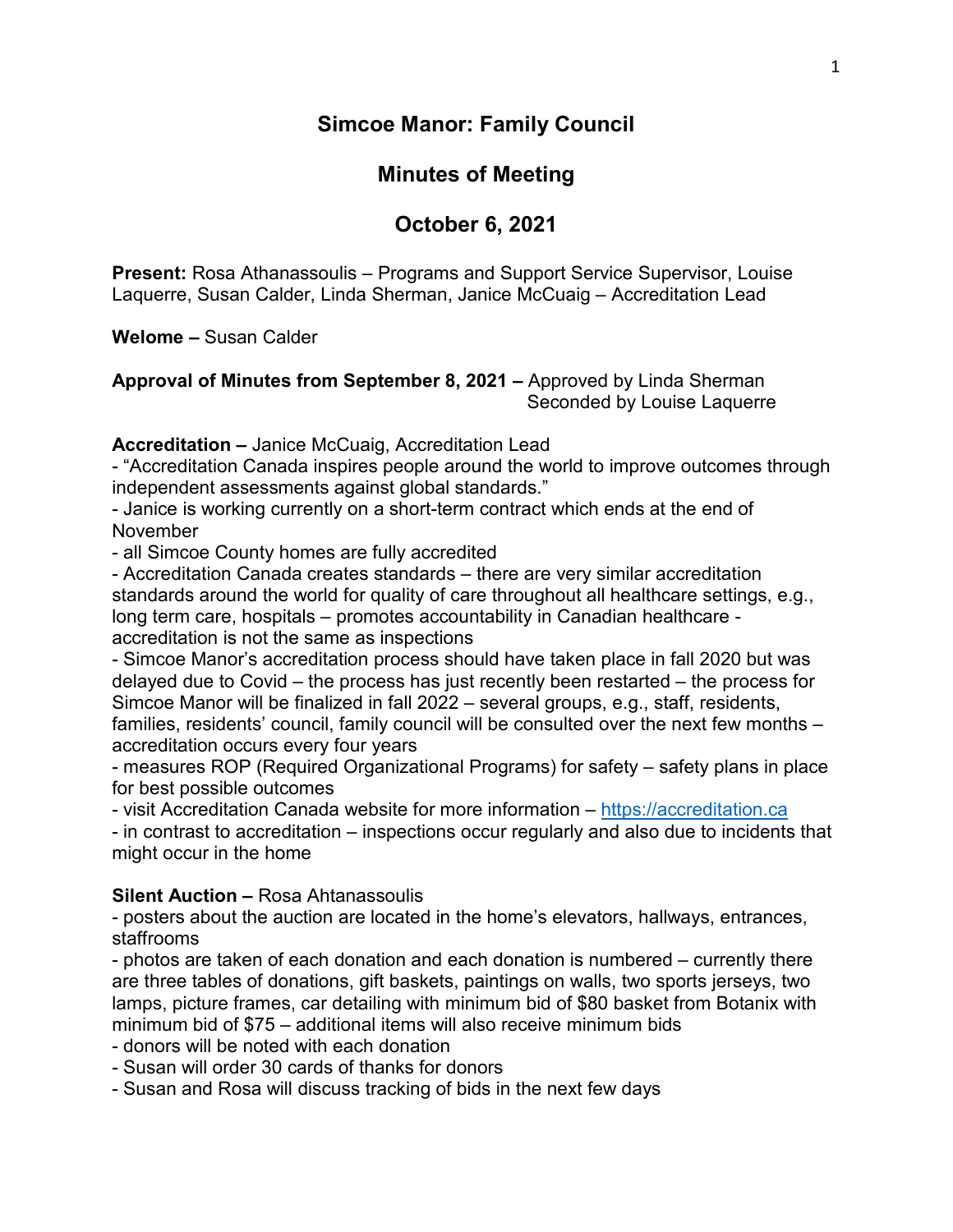### **Simcoe Manor: Family Council**

## **Minutes of Meeting**

# **October 6, 2021**

**Present:** Rosa Athanassoulis – Programs and Support Service Supervisor, Louise Laquerre, Susan Calder, Linda Sherman, Janice McCuaig – Accreditation Lead

**Welome –** Susan Calder

#### **Approval of Minutes from September 8, 2021 –** Approved by Linda Sherman Seconded by Louise Laquerre

**Accreditation –** Janice McCuaig, Accreditation Lead

- "Accreditation Canada inspires people around the world to improve outcomes through independent assessments against global standards."

- Janice is working currently on a short-term contract which ends at the end of November

- all Simcoe County homes are fully accredited

- Accreditation Canada creates standards – there are very similar accreditation standards around the world for quality of care throughout all healthcare settings, e.g., long term care, hospitals – promotes accountability in Canadian healthcare accreditation is not the same as inspections

- Simcoe Manor's accreditation process should have taken place in fall 2020 but was delayed due to Covid – the process has just recently been restarted – the process for Simcoe Manor will be finalized in fall 2022 – several groups, e.g., staff, residents, families, residents' council, family council will be consulted over the next few months – accreditation occurs every four years

- measures ROP (Required Organizational Programs) for safety – safety plans in place for best possible outcomes

- visit Accreditation Canada website for more information – [https://accreditation.ca](https://accreditation.ca/)

- in contrast to accreditation – inspections occur regularly and also due to incidents that might occur in the home

#### **Silent Auction –** Rosa Ahtanassoulis

- posters about the auction are located in the home's elevators, hallways, entrances, staffrooms

- photos are taken of each donation and each donation is numbered – currently there are three tables of donations, gift baskets, paintings on walls, two sports jerseys, two lamps, picture frames, car detailing with minimum bid of \$80 basket from Botanix with minimum bid of \$75 – additional items will also receive minimum bids

- donors will be noted with each donation

- Susan will order 30 cards of thanks for donors

- Susan and Rosa will discuss tracking of bids in the next few days